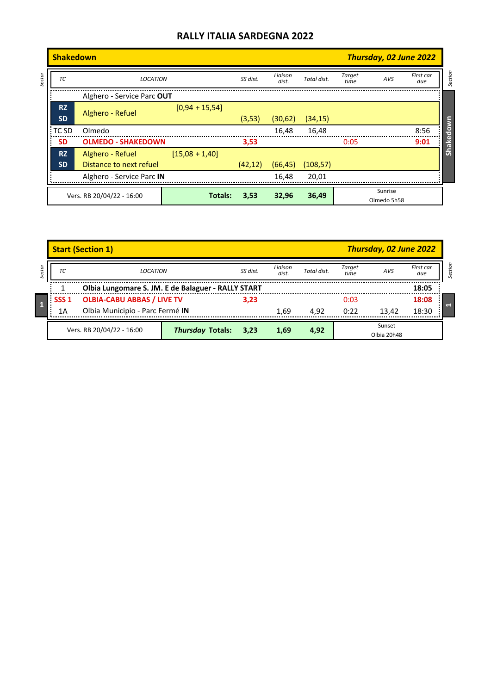|        | Thursday, 02 June 2022<br><b>Shakedown</b> |                           |                  |          |                  |             |                |                        |                  |           |
|--------|--------------------------------------------|---------------------------|------------------|----------|------------------|-------------|----------------|------------------------|------------------|-----------|
| Sector | ТC                                         | <b>LOCATION</b>           |                  |          | Liaison<br>dist. | Total dist. | Target<br>time | AVS                    | First car<br>due | Section   |
|        | Alghero - Service Parc OUT                 |                           |                  |          |                  |             |                |                        |                  |           |
|        | <b>RZ</b><br><b>SD</b>                     | Alghero - Refuel          | $[0,94 + 15,54]$ | (3,53)   | (30,62)          | (34, 15)    |                |                        |                  |           |
|        | TC SD                                      | Olmedo                    |                  |          | 16.48            | 16,48       |                |                        | 8:56             | Shakedown |
|        | <b>SD</b>                                  | <b>OLMEDO - SHAKEDOWN</b> |                  | 3,53     |                  |             | 0:05           |                        | 9:01             |           |
|        | <b>RZ</b>                                  | Alghero - Refuel          | $[15,08 + 1,40]$ |          |                  |             |                |                        |                  |           |
|        | <b>SD</b>                                  | Distance to next refuel   |                  | (42, 12) | (66, 45)         | (108, 57)   |                |                        |                  |           |
|        |                                            | Alghero - Service Parc IN |                  |          | 16.48            | 20,01       |                |                        |                  |           |
|        |                                            | Vers. RB 20/04/22 - 16:00 | <b>Totals:</b>   | 3,53     | 32,96            | 36,49       |                | Sunrise<br>Olmedo 5h58 |                  |           |

|        | <b>Start (Section 1)</b>  |                                                    |                              |          |                  |             |                | <b>Thursday, 02 June 2022</b> |                  |           |  |
|--------|---------------------------|----------------------------------------------------|------------------------------|----------|------------------|-------------|----------------|-------------------------------|------------------|-----------|--|
| Sector | ТC                        | <b>LOCATION</b>                                    |                              | SS dist. | Liaison<br>dist. | Total dist. | Target<br>time | <b>AVS</b>                    | First car<br>due | Section   |  |
|        |                           | Olbia Lungomare S. JM. E de Balaguer - RALLY START |                              |          |                  |             |                |                               | 18:05            |           |  |
|        | SSS <sub>1</sub>          | <b>OLBIA-CABU ABBAS / LIVE TV</b>                  |                              |          |                  |             | 0:03           |                               | 18:08            |           |  |
|        | 1Α                        | Olbia Municipio - Parc Fermé IN                    |                              |          | 1.69             | 4.92        | 0:22           | 13.42                         | 18:30            | <b>RE</b> |  |
|        | Vers. RB 20/04/22 - 16:00 |                                                    |                              |          | 1.69             |             |                | Sunset                        |                  |           |  |
|        |                           |                                                    | <b>Thursday Totals: 3,23</b> |          |                  | 4,92        |                | Olbia 20h48                   |                  |           |  |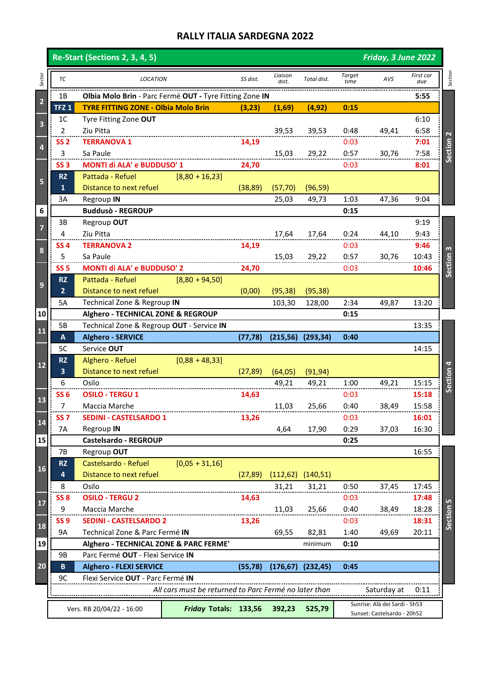|                         |                               | <b>Re-Start (Sections 2, 3, 4, 5)</b>                   |                                                       | Friday, 3 June 2022 |                  |             |                       |                             |                  |              |  |  |  |
|-------------------------|-------------------------------|---------------------------------------------------------|-------------------------------------------------------|---------------------|------------------|-------------|-----------------------|-----------------------------|------------------|--------------|--|--|--|
| Sector                  | ТC                            | <b>LOCATION</b>                                         |                                                       | SS dist.            | Liaison<br>dist. | Total dist. | <b>Target</b><br>time | AVS                         | First car<br>due | Section      |  |  |  |
|                         | 1B                            | Olbia Molo Brin - Parc Fermé OUT - Tyre Fitting Zone IN |                                                       |                     |                  |             |                       |                             | 5:55             |              |  |  |  |
| $\overline{\mathbf{c}}$ | TFZ <sub>1</sub>              | <b>TYRE FITTING ZONE - Olbia Molo Brin</b>              |                                                       | (3,23)              | (1,69)           | (4, 92)     | 0:15                  |                             |                  |              |  |  |  |
|                         | 1 <sup>C</sup>                | Tyre Fitting Zone OUT                                   |                                                       |                     |                  |             |                       |                             | 6:10             |              |  |  |  |
| 3                       | $\overline{2}$                | Ziu Pitta                                               |                                                       |                     | 39,53            | 39,53       | 0:48                  | 49,41                       | 6:58             |              |  |  |  |
|                         | <b>SS 2</b>                   | <b>TERRANOVA 1</b>                                      |                                                       | 14,19               |                  |             | 0:03                  |                             | 7:01             | Section 2    |  |  |  |
| 4                       | 3                             | Sa Paule                                                |                                                       |                     | 15,03            | 29,22       | 0:57                  | 30,76                       | 7:58             |              |  |  |  |
|                         | SS <sub>3</sub>               | MONTI di ALA' e BUDDUSO' 1                              |                                                       | 24,70               |                  |             | 0:03                  |                             | 8:01             |              |  |  |  |
| 5                       | <b>RZ</b>                     | Pattada - Refuel                                        | $[8,80 + 16,23]$                                      |                     |                  |             |                       |                             |                  |              |  |  |  |
|                         | $\mathbf{1}$                  | Distance to next refuel                                 |                                                       | (38, 89)            | (57, 70)         | (96, 59)    |                       |                             |                  |              |  |  |  |
|                         | 3A                            | Regroup IN                                              |                                                       |                     | 25,03            | 49,73       | 1:03                  | 47,36                       | 9:04             |              |  |  |  |
| 6                       |                               | <b>Buddusò - REGROUP</b>                                |                                                       |                     |                  |             | 0:15                  |                             |                  |              |  |  |  |
| 7                       | 3B                            | Regroup OUT                                             |                                                       |                     |                  |             |                       |                             | 9:19             |              |  |  |  |
|                         | 4                             | Ziu Pitta                                               |                                                       |                     | 17,64            | 17,64       | 0:24                  | 44,10                       | 9:43             |              |  |  |  |
|                         | SS 4                          | <b>TERRANOVA 2</b>                                      |                                                       | 14,19               |                  |             | 0:03                  |                             | 9:46             | $\mathbf{c}$ |  |  |  |
| 8                       | 5                             | Sa Paule                                                |                                                       |                     | 15,03            | 29,22       | 0:57                  | 30,76                       | 10:43            |              |  |  |  |
|                         | SS <sub>5</sub>               | MONTI di ALA' e BUDDUSO' 2                              |                                                       | 24,70               |                  |             | 0:03                  |                             | 10:46            | Section      |  |  |  |
|                         | <b>RZ</b>                     | Pattada - Refuel                                        | $[8,80 + 94,50]$                                      |                     |                  |             |                       |                             |                  |              |  |  |  |
| 9                       | 2 <sup>2</sup>                | Distance to next refuel                                 |                                                       | (0,00)              | (95, 38)         | (95, 38)    |                       |                             |                  |              |  |  |  |
|                         | 5A                            | Technical Zone & Regroup IN                             |                                                       |                     | 103,30           | 128,00      | 2:34                  | 49,87                       | 13:20            |              |  |  |  |
| 10                      |                               | Alghero - TECHNICAL ZONE & REGROUP                      |                                                       |                     |                  |             | 0:15                  |                             |                  |              |  |  |  |
|                         | 5B                            | Technical Zone & Regroup OUT - Service IN               |                                                       |                     |                  |             |                       |                             | 13:35            |              |  |  |  |
| <b>11</b>               | A                             | <b>Alghero - SERVICE</b>                                |                                                       | (77, 78)            | (215, 56)        | (293, 34)   | 0:40                  |                             |                  |              |  |  |  |
|                         | 5C                            | Service OUT                                             |                                                       |                     |                  |             |                       |                             | 14:15            |              |  |  |  |
|                         | <b>RZ</b>                     | Alghero - Refuel                                        | $[0,88 + 48,33]$                                      |                     |                  |             |                       |                             |                  |              |  |  |  |
| $12$                    | $\overline{\mathbf{3}}$       | Distance to next refuel                                 |                                                       | (27, 89)            | (64, 05)         | (91, 94)    |                       |                             |                  |              |  |  |  |
|                         | 6                             | Osilo                                                   |                                                       |                     | 49,21            | 49,21       | 1:00                  | 49,21                       | 15:15            | Section 4    |  |  |  |
| 13                      | SS <sub>6</sub>               | <b>OSILO - TERGU 1</b>                                  |                                                       | 14,63               |                  |             | 0:03                  |                             | 15:18            |              |  |  |  |
|                         | 7                             | Maccia Marche                                           |                                                       |                     | 11,03            | 25,66       | 0:40                  | 38,49                       | 15:58            |              |  |  |  |
|                         | SS <sub>7</sub>               | <b>SEDINI - CASTELSARDO 1</b>                           |                                                       | 13,26               |                  |             | 0:03                  |                             | 16:01            |              |  |  |  |
| $\mathbf{14}$           | <b>7A</b>                     | Regroup IN                                              |                                                       |                     | 4,64             | 17,90       | 0:29                  | 37,03                       | 16:30            |              |  |  |  |
| 15                      |                               | Castelsardo - REGROUP                                   |                                                       |                     |                  |             | 0:25                  |                             |                  |              |  |  |  |
|                         | 7B                            | Regroup OUT                                             |                                                       |                     |                  |             |                       |                             | 16:55            |              |  |  |  |
|                         | <b>RZ</b>                     | Castelsardo - Refuel                                    | $[0,05 + 31,16]$                                      |                     |                  |             |                       |                             |                  |              |  |  |  |
| <b>16</b>               | 4                             | Distance to next refuel                                 |                                                       | (27, 89)            | (112, 62)        | (140, 51)   |                       |                             |                  |              |  |  |  |
|                         | 8                             | Osilo                                                   |                                                       |                     | 31,21            | 31,21       | 0:50                  | 37,45                       | 17:45            |              |  |  |  |
|                         | SS <sub>8</sub>               | <b>OSILO - TERGU 2</b>                                  |                                                       | 14,63               |                  |             | 0:03                  |                             | 17:48            | 5            |  |  |  |
| $\mathbf{17}$           | 9                             | Maccia Marche                                           |                                                       |                     | 11,03            | 25,66       | 0:40                  | 38,49                       | 18:28            |              |  |  |  |
|                         | SS <sub>9</sub>               | <b>SEDINI - CASTELSARDO 2</b>                           |                                                       | 13,26               |                  |             | 0:03                  |                             | 18:31            | Section      |  |  |  |
| <b>18</b>               | 9A                            | Technical Zone & Parc Fermé IN                          |                                                       |                     | 69,55            | 82,81       | 1:40                  | 49,69                       | 20:11            |              |  |  |  |
| 19                      |                               | Alghero - TECHNICAL ZONE & PARC FERME'                  |                                                       |                     |                  | minimum     | 0:10                  |                             |                  |              |  |  |  |
|                         | 9B                            | Parc Fermé OUT - Flexi Service IN                       |                                                       |                     |                  |             |                       |                             |                  |              |  |  |  |
| 20                      | B                             | <b>Alghero - FLEXI SERVICE</b>                          |                                                       | (55, 78)            | (176, 67)        | (232, 45)   | 0:45                  |                             |                  |              |  |  |  |
|                         | 9C                            | Flexi Service OUT - Parc Fermé IN                       |                                                       |                     |                  |             |                       |                             |                  |              |  |  |  |
|                         |                               |                                                         | All cars must be returned to Parc Fermé no later than |                     |                  |             |                       | Saturday at                 | 0:11             |              |  |  |  |
|                         | Sunrise: Alà dei Sardi - 5h53 |                                                         |                                                       |                     |                  |             |                       |                             |                  |              |  |  |  |
|                         |                               | Vers. RB 20/04/22 - 16:00                               | Friday Totals: 133,56                                 |                     | 392,23           | 525,79      |                       | Sunset: Castelsardo - 20h52 |                  |              |  |  |  |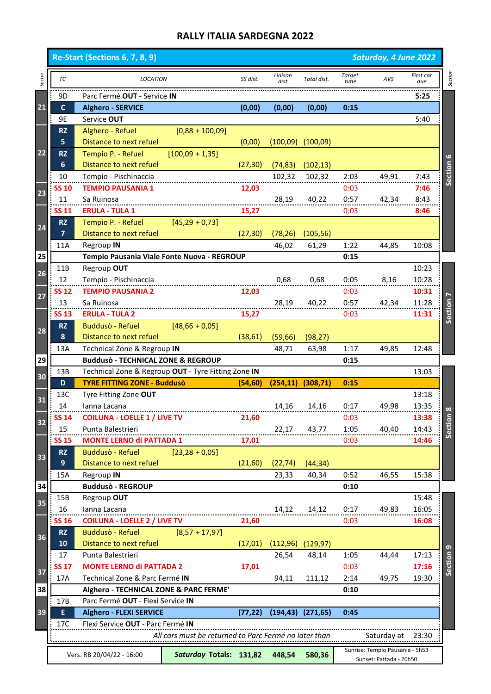|        |                | <b>Re-Start (Sections 6, 7, 8, 9)</b>                                       |                                                       |          |                  |             | Saturday, 4 June 2022 |                                 |                  |                      |
|--------|----------------|-----------------------------------------------------------------------------|-------------------------------------------------------|----------|------------------|-------------|-----------------------|---------------------------------|------------------|----------------------|
| Sector | TC             | <b>LOCATION</b>                                                             |                                                       | SS dist. | Liaison<br>dist. | Total dist. | Target<br>time        | AVS                             | First car<br>due | Section              |
|        | 9D             | Parc Fermé OUT - Service IN                                                 |                                                       |          |                  |             |                       |                                 | 5:25             |                      |
| 21     | $\mathbf{C}$   | <b>Alghero - SERVICE</b>                                                    |                                                       | (0,00)   | (0,00)           | (0,00)      | 0:15                  |                                 |                  |                      |
|        | 9E             | Service OUT                                                                 |                                                       |          |                  |             |                       |                                 | 5:40             |                      |
|        | <b>RZ</b>      | Alghero - Refuel                                                            | $[0,88 + 100,09]$                                     |          |                  |             |                       |                                 |                  |                      |
|        | 5              | Distance to next refuel                                                     |                                                       | (0,00)   | (100,09)         | (100,09)    |                       |                                 |                  |                      |
| 22     | <b>RZ</b>      | Tempio P. - Refuel                                                          | $[100,09 + 1,35]$                                     |          |                  |             |                       |                                 |                  | 6                    |
|        | 6              | Distance to next refuel                                                     |                                                       | (27, 30) | (74, 83)         | (102, 13)   |                       |                                 |                  |                      |
|        | 10             | Tempio - Pischinaccia                                                       |                                                       |          | 102,32           | 102,32      | 2:03                  | 49,91                           | 7:43             | Section              |
| 23     | SS 10          | <b>TEMPIO PAUSANIA 1</b>                                                    |                                                       | 12,03    |                  |             | 0:03                  |                                 | 7:46             |                      |
|        | 11             | Sa Ruinosa                                                                  |                                                       |          | 28,19            | 40,22       | 0:57                  | 42,34                           | 8:43             |                      |
|        | <b>SS 11</b>   | <b>ERULA - TULA 1</b>                                                       |                                                       | 15,27    |                  |             | 0:03                  |                                 | 8:46             |                      |
| 24     | <b>RZ</b>      | Tempio P. - Refuel                                                          | $[45,29+0,73]$                                        |          |                  |             |                       |                                 |                  |                      |
|        | $\overline{ }$ | Distance to next refuel                                                     |                                                       | (27, 30) | (78, 26)         | (105, 56)   |                       |                                 |                  |                      |
|        | 11A            | Regroup IN                                                                  |                                                       |          | 46,02            | 61,29       | 1:22                  | 44,85                           | 10:08            |                      |
| 25     |                | Tempio Pausania Viale Fonte Nuova - REGROUP                                 |                                                       |          |                  |             | 0:15                  |                                 |                  |                      |
| 26     | 11B            | Regroup OUT                                                                 |                                                       |          |                  |             |                       |                                 | 10:23            |                      |
|        | 12             | Tempio - Pischinaccia                                                       |                                                       |          | 0,68             | 0,68        | 0:05                  | 8,16                            | 10:28            |                      |
| 27     | <b>SS 12</b>   | <b>TEMPIO PAUSANIA 2</b>                                                    |                                                       | 12,03    |                  |             | 0:03                  |                                 | 10:31            |                      |
|        | 13             | Sa Ruinosa                                                                  |                                                       |          | 28,19            | 40,22       | 0:57                  | 42,34                           | 11:28            |                      |
|        | <b>SS 13</b>   | <b>ERULA - TULA 2</b>                                                       |                                                       | 15,27    |                  |             | 0:03                  |                                 | 11:31            | Section              |
| 28     | <b>RZ</b>      | <b>Buddusò - Refuel</b>                                                     | $[48,66 + 0,05]$                                      |          |                  |             |                       |                                 |                  |                      |
|        | 8              | Distance to next refuel                                                     |                                                       | (38, 61) | (59, 66)         | (98, 27)    |                       |                                 |                  |                      |
|        | 13A            | Technical Zone & Regroup IN                                                 |                                                       |          | 48,71            | 63,98       | 1:17                  | 49,85                           | 12:48            |                      |
| 29     |                | <b>Buddusò - TECHNICAL ZONE &amp; REGROUP</b>                               |                                                       |          |                  |             | 0:15                  |                                 |                  |                      |
|        |                |                                                                             |                                                       |          |                  |             |                       |                                 |                  |                      |
|        | 13B            | Technical Zone & Regroup OUT - Tyre Fitting Zone IN                         |                                                       |          |                  |             |                       |                                 | 13:03            |                      |
| 30     | D              | <b>TYRE FITTING ZONE - Buddusò</b>                                          |                                                       | (54, 60) | (254, 11)        | (308, 71)   | 0:15                  |                                 |                  |                      |
| 31     | 13C            | Tyre Fitting Zone OUT                                                       |                                                       |          |                  |             |                       |                                 | 13:18            |                      |
|        | 14             | lanna Lacana                                                                |                                                       |          | 14,16            | 14,16       | 0:17                  | 49,98                           | 13:35            | $\infty$             |
| 32     | <b>SS 14</b>   | <b>COILUNA - LOELLE 1 / LIVE TV</b>                                         |                                                       | 21,60    |                  |             | 0:03                  |                                 | 13:38            | $\overline{5}$       |
|        | 15             | Punta Balestrieri                                                           |                                                       |          | 22,17            | 43,77       | 1:05                  | 40,40                           | 14:43            | Secti                |
|        | <b>SS 15</b>   | <b>MONTE LERNO di PATTADA 1</b>                                             |                                                       | 17,01    |                  |             | 0:03                  |                                 | 14:46            |                      |
| 33     | <b>RZ</b>      | Buddusò - Refuel                                                            | $[23, 28 + 0, 05]$                                    |          |                  |             |                       |                                 |                  |                      |
|        | 9              | Distance to next refuel                                                     |                                                       | (21,60)  | (22, 74)         | (44, 34)    |                       |                                 |                  |                      |
|        | 15A            | Regroup IN                                                                  |                                                       |          | 23,33            | 40,34       | 0:52                  | 46,55                           | 15:38            |                      |
| 34     |                | <b>Buddusò - REGROUP</b>                                                    |                                                       |          |                  |             | 0:10                  |                                 |                  |                      |
| 35     | 15B            | Regroup OUT                                                                 |                                                       |          |                  |             |                       |                                 | 15:48            |                      |
|        | 16             | lanna Lacana                                                                |                                                       |          | 14,12            | 14,12       | 0:17                  | 49,83                           | 16:05            |                      |
|        | <b>SS 16</b>   | <b>COILUNA - LOELLE 2 / LIVE TV</b>                                         |                                                       | 21,60    |                  |             | 0:03                  |                                 | 16:08            |                      |
| 36     | <b>RZ</b>      | Buddusò - Refuel                                                            | $[8,57 + 17,97]$                                      |          |                  |             |                       |                                 |                  |                      |
|        | 10             | Distance to next refuel                                                     |                                                       | (17, 01) | (112,96)         | (129, 97)   |                       |                                 |                  |                      |
|        | 17             | Punta Balestrieri                                                           |                                                       |          | 26,54            | 48,14       | 1:05                  | 44,44                           | 17:13            |                      |
| 37     | SS 17          | <b>MONTE LERNO di PATTADA 2</b>                                             |                                                       | 17,01    |                  |             | 0:03                  |                                 | 17:16            | Section <sub>9</sub> |
|        | 17A            | Technical Zone & Parc Fermé IN                                              |                                                       |          | 94,11            | 111,12      | 2:14                  | 49,75                           | 19:30            |                      |
| 38     | 17B            | Alghero - TECHNICAL ZONE & PARC FERME'<br>Parc Fermé OUT - Flexi Service IN |                                                       |          |                  |             | 0:10                  |                                 |                  |                      |
| 39     | E              |                                                                             |                                                       |          |                  |             | 0:45                  |                                 |                  |                      |
|        | 17C            | <b>Alghero - FLEXI SERVICE</b>                                              |                                                       | (77, 22) | (194, 43)        | (271, 65)   |                       |                                 |                  |                      |
|        |                | Flexi Service OUT - Parc Fermé IN                                           | All cars must be returned to Parc Fermé no later than |          |                  |             |                       | Saturday at                     | 23:30            |                      |
|        |                |                                                                             | Saturday Totals: 131,82                               |          | 448,54           | 580,36      |                       | Sunrise: Tempio Pausania - 5h53 |                  |                      |